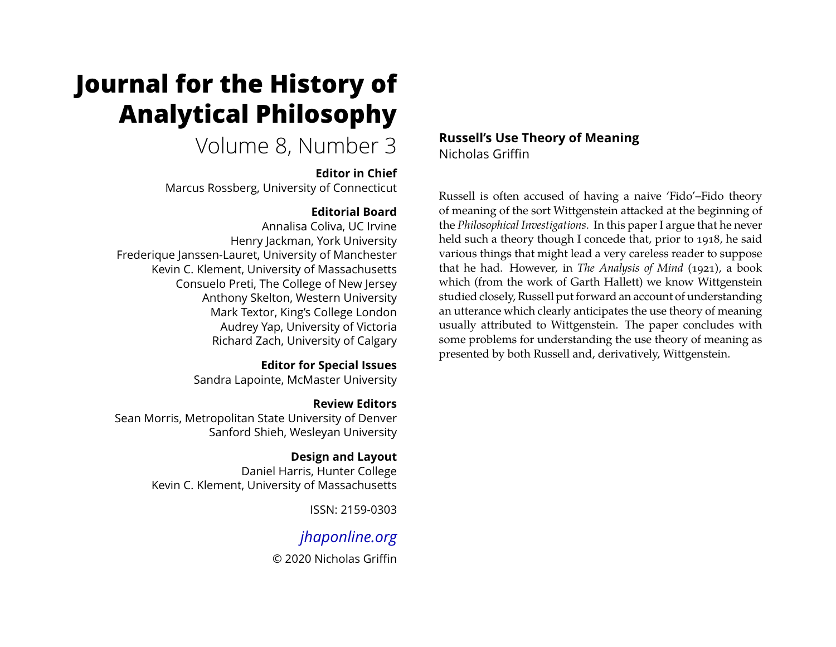# **Journal for the History of Analytical Philosophy**

## Volume 8, Number 3

#### **Editor in Chief**

Marcus Rossberg, University of Connecticut

## **Editorial Board**

Annalisa Coliva, UC Irvine Henry Jackman, York University Frederique Janssen-Lauret, University of Manchester Kevin C. Klement, University of Massachusetts Consuelo Preti, The College of New Jersey Anthony Skelton, Western University Mark Textor, King's College London Audrey Yap, University of Victoria Richard Zach, University of Calgary

## **Editor for Special Issues**

Sandra Lapointe, McMaster University

## **Review Editors**

Sean Morris, Metropolitan State University of Denver Sanford Shieh, Wesleyan University

## **Design and Layout**

Daniel Harris, Hunter College Kevin C. Klement, University of Massachusetts

ISSN: 2159-0303

## *[jhaponline.org](https://jhaponline.org)*

© 2020 Nicholas Griffin

## **Russell's Use Theory of Meaning** Nicholas Griffin

Russell is often accused of having a naive 'Fido'–Fido theory of meaning of the sort Wittgenstein attacked at the beginning of the *Philosophical Investigations*. In this paper I argue that he never held such a theory though I concede that, prior to 1918, he said various things that might lead a very careless reader to suppose that he had. However, in *The Analysis of Mind* (1921), a book which (from the work of Garth Hallett) we know Wittgenstein studied closely, Russell put forward an account of understanding an utterance which clearly anticipates the use theory of meaning usually attributed to Wittgenstein. The paper concludes with some problems for understanding the use theory of meaning as presented by both Russell and, derivatively, Wittgenstein.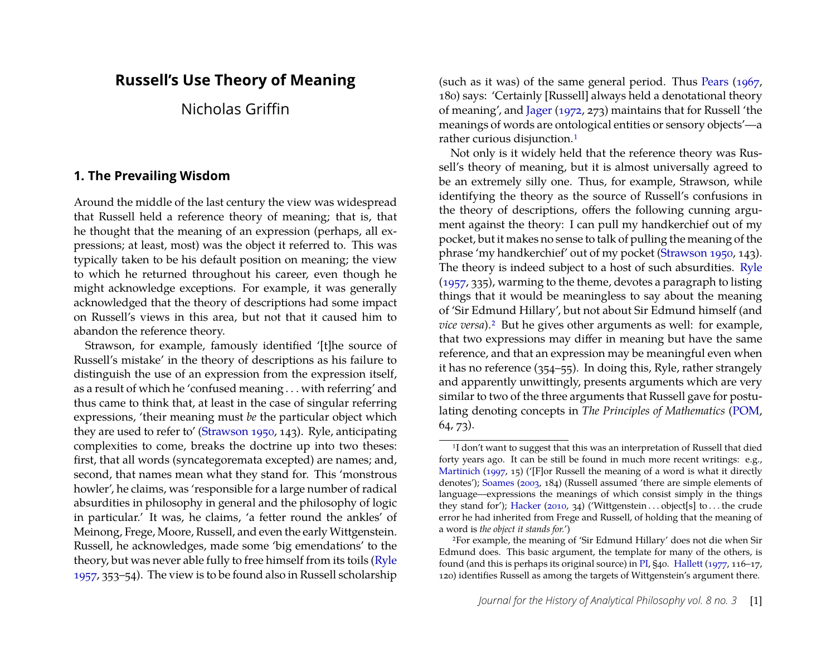## **Russell's Use Theory of Meaning**

Nicholas Griffin

#### **1. The Prevailing Wisdom**

Around the middle of the last century the view was widespread that Russell held a reference theory of meaning; that is, that he thought that the meaning of an expression (perhaps, all expressions; at least, most) was the object it referred to. This was typically taken to be his default position on meaning; the view to which he returned throughout his career, even though he might acknowledge exceptions. For example, it was generally acknowledged that the theory of descriptions had some impact on Russell's views in this area, but not that it caused him to abandon the reference theory.

Strawson, for example, famously identified '[t]he source of Russell's mistake' in the theory of descriptions as his failure to distinguish the use of an expression from the expression itself, as a result of which he 'confused meaning . . . with referring' and thus came to think that, at least in the case of singular referring expressions, 'their meaning must *be* the particular object which they are used to refer to' [\(Strawson 1950,](#page-18-0) 143). Ryle, anticipating complexities to come, breaks the doctrine up into two theses: first, that all words (syncategoremata excepted) are names; and, second, that names mean what they stand for. This 'monstrous howler', he claims, was 'responsible for a large number of radical absurdities in philosophy in general and the philosophy of logic in particular.' It was, he claims, 'a fetter round the ankles' of Meinong, Frege, Moore, Russell, and even the early Wittgenstein. Russell, he acknowledges, made some 'big emendations' to the theory, but was never able fully to free himself from its toils [\(Ryle](#page-18-1) [1957,](#page-18-1) 353–54). The view is to be found also in Russell scholarship (such as it was) of the same general period. Thus [Pears](#page-18-2) [\(1967,](#page-18-2) 180) says: 'Certainly [Russell] always held a denotational theory of meaning', and [Jager](#page-18-3) [\(1972,](#page-18-3) 273) maintains that for Russell 'the meanings of words are ontological entities or sensory objects'—a rather curious disjunction.[1](#page-1-0)

Not only is it widely held that the reference theory was Russell's theory of meaning, but it is almost universally agreed to be an extremely silly one. Thus, for example, Strawson, while identifying the theory as the source of Russell's confusions in the theory of descriptions, offers the following cunning argument against the theory: I can pull my handkerchief out of my pocket, but it makes no sense to talk of pulling the meaning of the phrase 'my handkerchief' out of my pocket [\(Strawson 1950,](#page-18-0) 143). The theory is indeed subject to a host of such absurdities. [Ryle](#page-18-1) [\(1957,](#page-18-1) 335), warming to the theme, devotes a paragraph to listing things that it would be meaningless to say about the meaning of 'Sir Edmund Hillary', but not about Sir Edmund himself (and *vice versa*).<sup>[2](#page-1-1)</sup> But he gives other arguments as well: for example, that two expressions may differ in meaning but have the same reference, and that an expression may be meaningful even when it has no reference (354–55). In doing this, Ryle, rather strangely and apparently unwittingly, presents arguments which are very similar to two of the three arguments that Russell gave for postulating denoting concepts in *The Principles of Mathematics* [\(POM,](#page-13-0) 64, 73).

<span id="page-1-0"></span><sup>&</sup>lt;sup>1</sup>I don't want to suggest that this was an interpretation of Russell that died forty years ago. It can be still be found in much more recent writings: e.g., [Martinich](#page-18-4) [\(1997,](#page-18-4) 15) ('[F]or Russell the meaning of a word is what it directly denotes'); [Soames](#page-18-5) [\(2003,](#page-18-5) 184) (Russell assumed 'there are simple elements of language—expressions the meanings of which consist simply in the things they stand for'); [Hacker](#page-17-0) [\(2010,](#page-17-0) 34) ('Wittgenstein . . . object[s] to . . . the crude error he had inherited from Frege and Russell, of holding that the meaning of a word is *the object it stands for.*')

<span id="page-1-1"></span><sup>2</sup>For example, the meaning of 'Sir Edmund Hillary' does not die when Sir Edmund does. This basic argument, the template for many of the others, is found (and this is perhaps its original source) in [PI,](#page-13-0) §40. [Hallett](#page-18-6) [\(1977,](#page-18-6) 116–17, 120) identifies Russell as among the targets of Wittgenstein's argument there.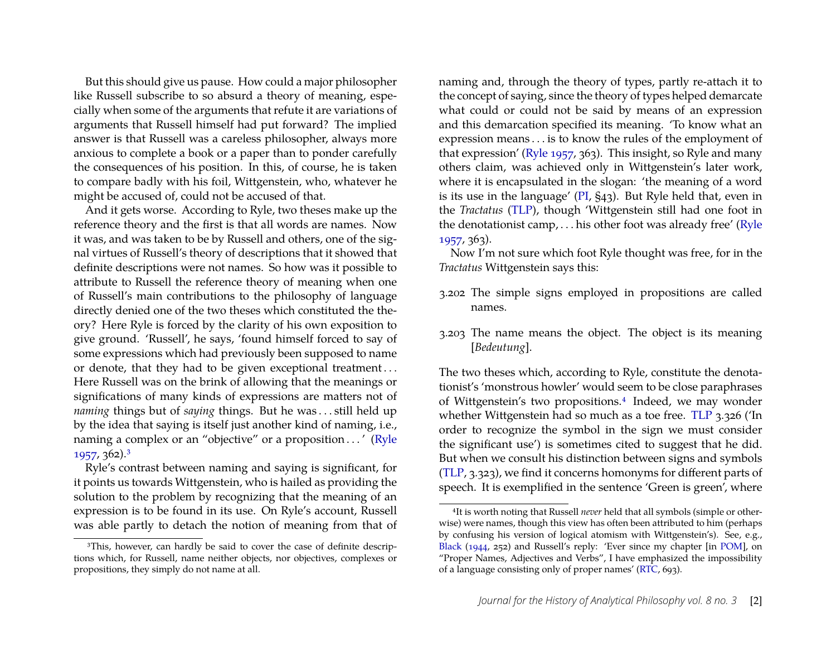But this should give us pause. How could a major philosopher like Russell subscribe to so absurd a theory of meaning, especially when some of the arguments that refute it are variations of arguments that Russell himself had put forward? The implied answer is that Russell was a careless philosopher, always more anxious to complete a book or a paper than to ponder carefully the consequences of his position. In this, of course, he is taken to compare badly with his foil, Wittgenstein, who, whatever he might be accused of, could not be accused of that.

And it gets worse. According to Ryle, two theses make up the reference theory and the first is that all words are names. Now it was, and was taken to be by Russell and others, one of the signal virtues of Russell's theory of descriptions that it showed that definite descriptions were not names. So how was it possible to attribute to Russell the reference theory of meaning when one of Russell's main contributions to the philosophy of language directly denied one of the two theses which constituted the theory? Here Ryle is forced by the clarity of his own exposition to give ground. 'Russell', he says, 'found himself forced to say of some expressions which had previously been supposed to name or denote, that they had to be given exceptional treatment . . . Here Russell was on the brink of allowing that the meanings or significations of many kinds of expressions are matters not of *naming* things but of *saying* things. But he was . . . still held up by the idea that saying is itself just another kind of naming, i.e., naming a complex or an "objective" or a proposition . . . ' [\(Ryle](#page-18-1) [1957,](#page-18-1) 362).[3](#page-2-0)

Ryle's contrast between naming and saying is significant, for it points us towards Wittgenstein, who is hailed as providing the solution to the problem by recognizing that the meaning of an expression is to be found in its use. On Ryle's account, Russell was able partly to detach the notion of meaning from that of naming and, through the theory of types, partly re-attach it to the concept of saying, since the theory of types helped demarcate what could or could not be said by means of an expression and this demarcation specified its meaning. 'To know what an expression means . . . is to know the rules of the employment of that expression' [\(Ryle 1957,](#page-18-1) 363). This insight, so Ryle and many others claim, was achieved only in Wittgenstein's later work, where it is encapsulated in the slogan: 'the meaning of a word is its use in the language' [\(PI,](#page-13-0) §43). But Ryle held that, even in the *Tractatus* [\(TLP\)](#page-13-0), though 'Wittgenstein still had one foot in the denotationist camp, . . . his other foot was already free' [\(Ryle](#page-18-1) [1957,](#page-18-1) 363).

Now I'm not sure which foot Ryle thought was free, for in the *Tractatus* Wittgenstein says this:

- 3.202 The simple signs employed in propositions are called names.
- 3.203 The name means the object. The object is its meaning [*Bedeutung*].

The two theses which, according to Ryle, constitute the denotationist's 'monstrous howler' would seem to be close paraphrases of Wittgenstein's two propositions.[4](#page-2-1) Indeed, we may wonder whether Wittgenstein had so much as a toe free. [TLP](#page-13-0) 3.326 ('In order to recognize the symbol in the sign we must consider the significant use') is sometimes cited to suggest that he did. But when we consult his distinction between signs and symbols [\(TLP,](#page-13-0) 3.323), we find it concerns homonyms for different parts of speech. It is exemplified in the sentence 'Green is green', where

<span id="page-2-0"></span><sup>&</sup>lt;sup>3</sup>This, however, can hardly be said to cover the case of definite descriptions which, for Russell, name neither objects, nor objectives, complexes or propositions, they simply do not name at all.

<span id="page-2-1"></span><sup>4</sup>It is worth noting that Russell *never* held that all symbols (simple or otherwise) were names, though this view has often been attributed to him (perhaps by confusing his version of logical atomism with Wittgenstein's). See, e.g., [Black](#page-17-1) [\(1944,](#page-17-1) 252) and Russell's reply: 'Ever since my chapter [in [POM\]](#page-13-0), on "Proper Names, Adjectives and Verbs", I have emphasized the impossibility of a language consisting only of proper names' [\(RTC,](#page-13-0) 693).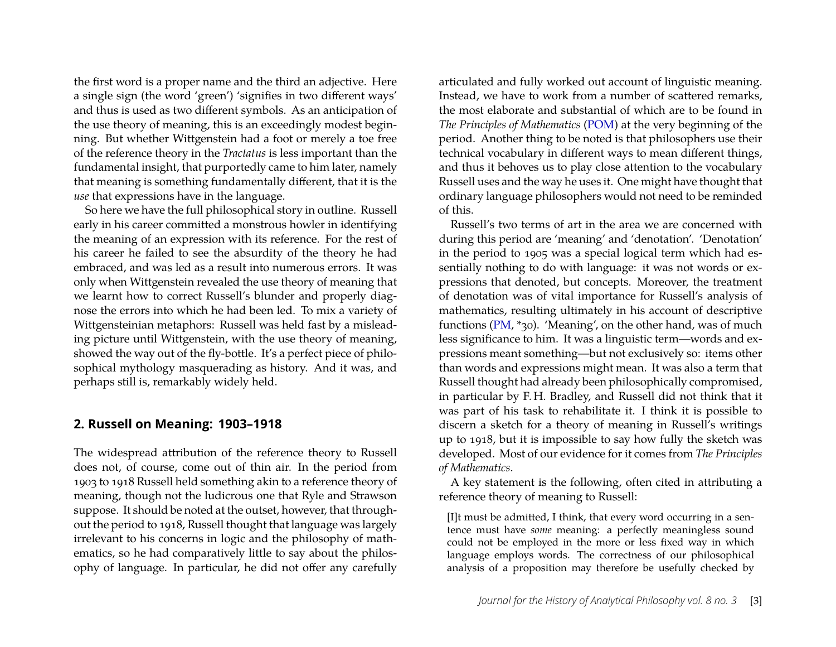the first word is a proper name and the third an adjective. Here a single sign (the word 'green') 'signifies in two different ways' and thus is used as two different symbols. As an anticipation of the use theory of meaning, this is an exceedingly modest beginning. But whether Wittgenstein had a foot or merely a toe free of the reference theory in the *Tractatus* is less important than the fundamental insight, that purportedly came to him later, namely that meaning is something fundamentally different, that it is the *use* that expressions have in the language.

So here we have the full philosophical story in outline. Russell early in his career committed a monstrous howler in identifying the meaning of an expression with its reference. For the rest of his career he failed to see the absurdity of the theory he had embraced, and was led as a result into numerous errors. It was only when Wittgenstein revealed the use theory of meaning that we learnt how to correct Russell's blunder and properly diagnose the errors into which he had been led. To mix a variety of Wittgensteinian metaphors: Russell was held fast by a misleading picture until Wittgenstein, with the use theory of meaning, showed the way out of the fly-bottle. It's a perfect piece of philosophical mythology masquerading as history. And it was, and perhaps still is, remarkably widely held.

#### **2. Russell on Meaning: 1903–1918**

The widespread attribution of the reference theory to Russell does not, of course, come out of thin air. In the period from 1903 to 1918 Russell held something akin to a reference theory of meaning, though not the ludicrous one that Ryle and Strawson suppose. It should be noted at the outset, however, that throughout the period to 1918, Russell thought that language was largely irrelevant to his concerns in logic and the philosophy of mathematics, so he had comparatively little to say about the philosophy of language. In particular, he did not offer any carefully articulated and fully worked out account of linguistic meaning. Instead, we have to work from a number of scattered remarks, the most elaborate and substantial of which are to be found in *The Principles of Mathematics* [\(POM\)](#page-13-0) at the very beginning of the period. Another thing to be noted is that philosophers use their technical vocabulary in different ways to mean different things, and thus it behoves us to play close attention to the vocabulary Russell uses and the way he uses it. One might have thought that ordinary language philosophers would not need to be reminded of this.

Russell's two terms of art in the area we are concerned with during this period are 'meaning' and 'denotation'. 'Denotation' in the period to 1905 was a special logical term which had essentially nothing to do with language: it was not words or expressions that denoted, but concepts. Moreover, the treatment of denotation was of vital importance for Russell's analysis of mathematics, resulting ultimately in his account of descriptive functions [\(PM,](#page-13-0) \*30). 'Meaning', on the other hand, was of much less significance to him. It was a linguistic term—words and expressions meant something—but not exclusively so: items other than words and expressions might mean. It was also a term that Russell thought had already been philosophically compromised, in particular by F. H. Bradley, and Russell did not think that it was part of his task to rehabilitate it. I think it is possible to discern a sketch for a theory of meaning in Russell's writings up to 1918, but it is impossible to say how fully the sketch was developed. Most of our evidence for it comes from *The Principles of Mathematics*.

A key statement is the following, often cited in attributing a reference theory of meaning to Russell:

[I]t must be admitted, I think, that every word occurring in a sentence must have *some* meaning: a perfectly meaningless sound could not be employed in the more or less fixed way in which language employs words. The correctness of our philosophical analysis of a proposition may therefore be usefully checked by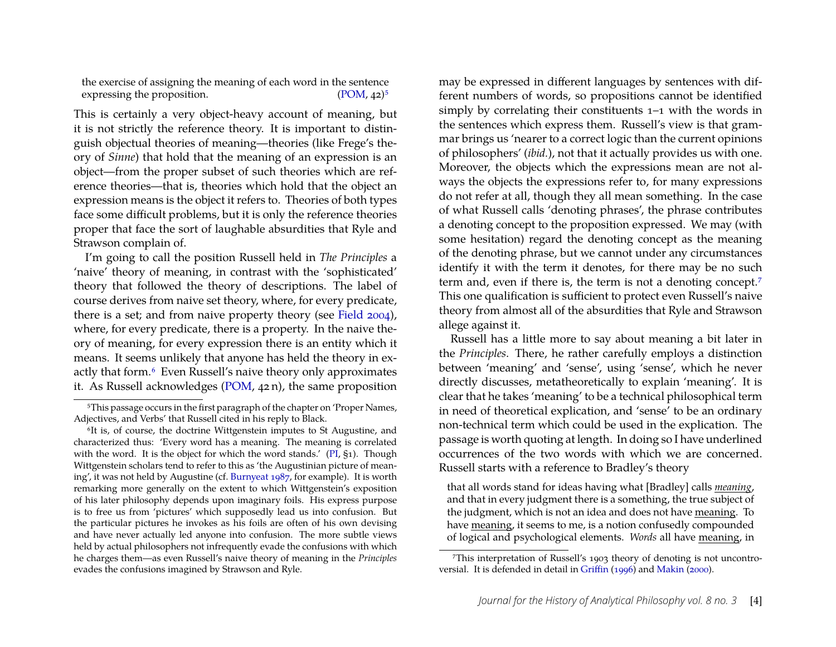the exercise of assigning the meaning of each word in the sentence expressing the proposition.  $(POM, 42)^5$  $(POM, 42)^5$ 

This is certainly a very object-heavy account of meaning, but it is not strictly the reference theory. It is important to distinguish objectual theories of meaning—theories (like Frege's theory of *Sinne*) that hold that the meaning of an expression is an object—from the proper subset of such theories which are reference theories—that is, theories which hold that the object an expression means is the object it refers to. Theories of both types face some difficult problems, but it is only the reference theories proper that face the sort of laughable absurdities that Ryle and Strawson complain of.

I'm going to call the position Russell held in *The Principles* a 'naive' theory of meaning, in contrast with the 'sophisticated' theory that followed the theory of descriptions. The label of course derives from naive set theory, where, for every predicate, there is a set; and from naive property theory (see [Field 2004\)](#page-17-2), where, for every predicate, there is a property. In the naive theory of meaning, for every expression there is an entity which it means. It seems unlikely that anyone has held the theory in exactly that form.[6](#page-4-1) Even Russell's naive theory only approximates it. As Russell acknowledges [\(POM,](#page-13-0) 42 n), the same proposition may be expressed in different languages by sentences with different numbers of words, so propositions cannot be identified simply by correlating their constituents 1–1 with the words in the sentences which express them. Russell's view is that grammar brings us 'nearer to a correct logic than the current opinions of philosophers' (*ibid.*), not that it actually provides us with one. Moreover, the objects which the expressions mean are not always the objects the expressions refer to, for many expressions do not refer at all, though they all mean something. In the case of what Russell calls 'denoting phrases', the phrase contributes a denoting concept to the proposition expressed. We may (with some hesitation) regard the denoting concept as the meaning of the denoting phrase, but we cannot under any circumstances identify it with the term it denotes, for there may be no such term and, even if there is, the term is not a denoting concept.<sup>[7](#page-4-2)</sup> This one qualification is sufficient to protect even Russell's naive theory from almost all of the absurdities that Ryle and Strawson allege against it.

Russell has a little more to say about meaning a bit later in the *Principles*. There, he rather carefully employs a distinction between 'meaning' and 'sense', using 'sense', which he never directly discusses, metatheoretically to explain 'meaning'. It is clear that he takes 'meaning' to be a technical philosophical term in need of theoretical explication, and 'sense' to be an ordinary non-technical term which could be used in the explication. The passage is worth quoting at length. In doing so I have underlined occurrences of the two words with which we are concerned. Russell starts with a reference to Bradley's theory

that all words stand for ideas having what [Bradley] calls *meaning*, and that in every judgment there is a something, the true subject of the judgment, which is not an idea and does not have meaning. To have meaning, it seems to me, is a notion confusedly compounded of logical and psychological elements. *Words* all have meaning, in

<span id="page-4-0"></span><sup>5</sup>This passage occurs in the first paragraph of the chapter on 'Proper Names, Adjectives, and Verbs' that Russell cited in his reply to Black.

<span id="page-4-1"></span><sup>&</sup>lt;sup>6</sup>It is, of course, the doctrine Wittgenstein imputes to St Augustine, and characterized thus: 'Every word has a meaning. The meaning is correlated with the word. It is the object for which the word stands.' [\(PI,](#page-13-0) §1). Though Wittgenstein scholars tend to refer to this as 'the Augustinian picture of meaning', it was not held by Augustine (cf. [Burnyeat 1987,](#page-17-3) for example). It is worth remarking more generally on the extent to which Wittgenstein's exposition of his later philosophy depends upon imaginary foils. His express purpose is to free us from 'pictures' which supposedly lead us into confusion. But the particular pictures he invokes as his foils are often of his own devising and have never actually led anyone into confusion. The more subtle views held by actual philosophers not infrequently evade the confusions with which he charges them—as even Russell's naive theory of meaning in the *Principles* evades the confusions imagined by Strawson and Ryle.

<span id="page-4-2"></span><sup>7</sup>This interpretation of Russell's 1903 theory of denoting is not uncontroversial. It is defended in detail in [Griffin](#page-17-4) [\(1996\)](#page-17-4) and [Makin](#page-18-7) [\(2000\)](#page-18-7).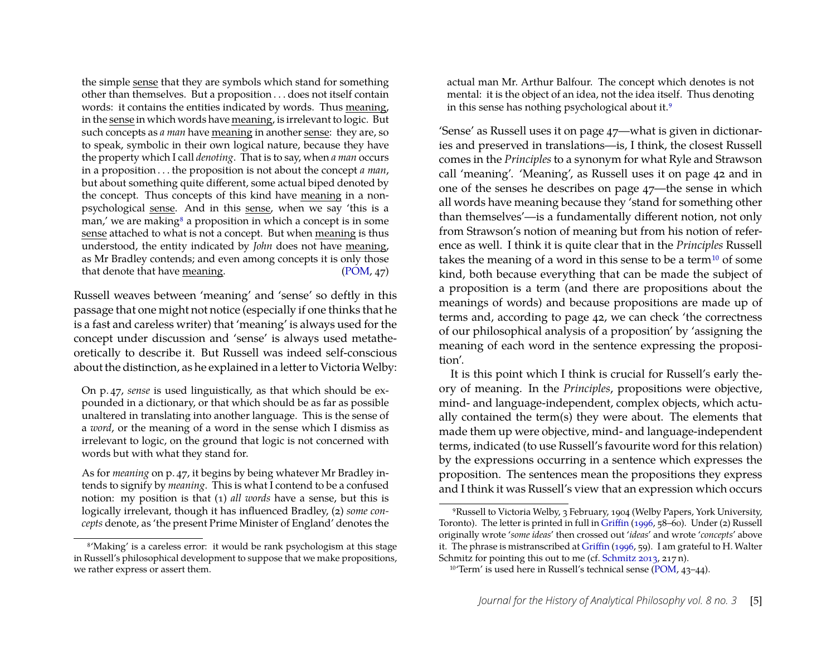the simple sense that they are symbols which stand for something other than themselves. But a proposition . . . does not itself contain words: it contains the entities indicated by words. Thus meaning, in the sense in which words have meaning, is irrelevant to logic. But such concepts as *a man* have meaning in another sense: they are, so to speak, symbolic in their own logical nature, because they have the property which I call *denoting*. That is to say, when *a man* occurs in a proposition . . . the proposition is not about the concept *a man*, but about something quite different, some actual biped denoted by the concept. Thus concepts of this kind have meaning in a nonpsychological sense. And in this sense, when we say 'this is a man,' we are making $\delta$  a proposition in which a concept is in some sense attached to what is not a concept. But when meaning is thus understood, the entity indicated by *John* does not have meaning, as Mr Bradley contends; and even among concepts it is only those that denote that have meaning. [\(POM,](#page-13-0) 47)

Russell weaves between 'meaning' and 'sense' so deftly in this passage that one might not notice (especially if one thinks that he is a fast and careless writer) that 'meaning' is always used for the concept under discussion and 'sense' is always used metatheoretically to describe it. But Russell was indeed self-conscious about the distinction, as he explained in a letter to Victoria Welby:

On p. 47, *sense* is used linguistically, as that which should be expounded in a dictionary, or that which should be as far as possible unaltered in translating into another language. This is the sense of a *word*, or the meaning of a word in the sense which I dismiss as irrelevant to logic, on the ground that logic is not concerned with words but with what they stand for.

As for *meaning* on p. 47, it begins by being whatever Mr Bradley intends to signify by *meaning*. This is what I contend to be a confused notion: my position is that (1) *all words* have a sense, but this is logically irrelevant, though it has influenced Bradley, (2) *some concepts* denote, as 'the present Prime Minister of England' denotes the actual man Mr. Arthur Balfour. The concept which denotes is not mental: it is the object of an idea, not the idea itself. Thus denoting in this sense has nothing psychological about it.[9](#page-5-1)

'Sense' as Russell uses it on page 47—what is given in dictionaries and preserved in translations—is, I think, the closest Russell comes in the *Principles* to a synonym for what Ryle and Strawson call 'meaning'. 'Meaning', as Russell uses it on page 42 and in one of the senses he describes on page 47—the sense in which all words have meaning because they 'stand for something other than themselves'—is a fundamentally different notion, not only from Strawson's notion of meaning but from his notion of reference as well. I think it is quite clear that in the *Principles* Russell takes the meaning of a word in this sense to be a term<sup>[10](#page-5-2)</sup> of some kind, both because everything that can be made the subject of a proposition is a term (and there are propositions about the meanings of words) and because propositions are made up of terms and, according to page 42, we can check 'the correctness of our philosophical analysis of a proposition' by 'assigning the meaning of each word in the sentence expressing the proposition'.

It is this point which I think is crucial for Russell's early theory of meaning. In the *Principles*, propositions were objective, mind- and language-independent, complex objects, which actually contained the term(s) they were about. The elements that made them up were objective, mind- and language-independent terms, indicated (to use Russell's favourite word for this relation) by the expressions occurring in a sentence which expresses the proposition. The sentences mean the propositions they express and I think it was Russell's view that an expression which occurs

<span id="page-5-0"></span><sup>8</sup>'Making' is a careless error: it would be rank psychologism at this stage in Russell's philosophical development to suppose that we make propositions, we rather express or assert them.

<span id="page-5-1"></span><sup>9</sup>Russell to Victoria Welby, 3 February, 1904 (Welby Papers, York University, Toronto). The letter is printed in full in [Griffin](#page-17-4) [\(1996,](#page-17-4) 58–60). Under (2) Russell originally wrote '*some ideas*' then crossed out '*ideas*' and wrote '*concepts*' above it. The phrase is mistranscribed at [Griffin](#page-17-4) [\(1996,](#page-17-4) 59). I am grateful to H. Walter Schmitz for pointing this out to me (cf. [Schmitz 2013,](#page-18-8) 217 n).

<span id="page-5-2"></span><sup>10</sup>'Term' is used here in Russell's technical sense [\(POM,](#page-13-0) 43–44).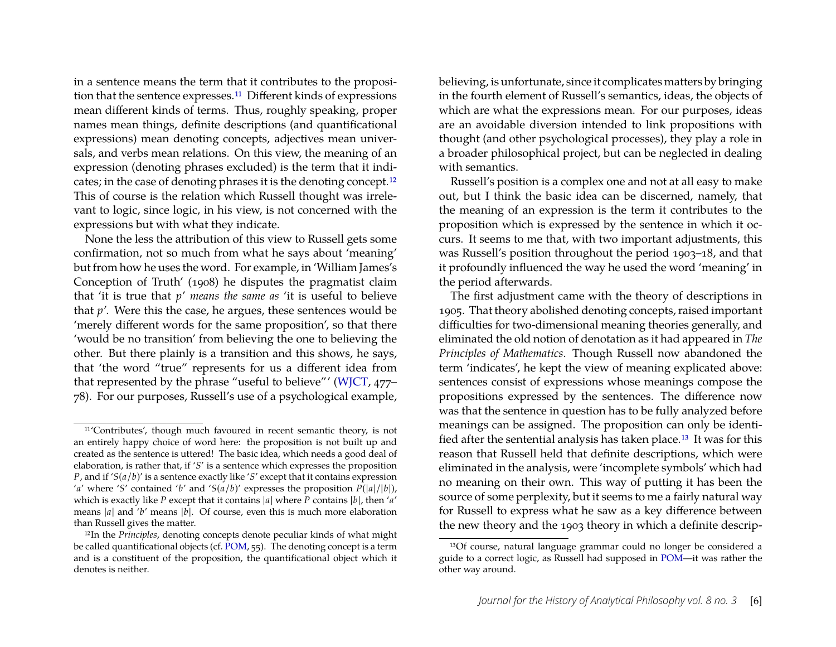in a sentence means the term that it contributes to the proposition that the sentence expresses.[11](#page-6-0) Different kinds of expressions mean different kinds of terms. Thus, roughly speaking, proper names mean things, definite descriptions (and quantificational expressions) mean denoting concepts, adjectives mean universals, and verbs mean relations. On this view, the meaning of an expression (denoting phrases excluded) is the term that it indicates; in the case of denoting phrases it is the denoting concept.[12](#page-6-1) This of course is the relation which Russell thought was irrelevant to logic, since logic, in his view, is not concerned with the expressions but with what they indicate.

None the less the attribution of this view to Russell gets some confirmation, not so much from what he says about 'meaning' but from how he uses the word. For example, in 'William James's Conception of Truth' (1908) he disputes the pragmatist claim that 'it is true that *p*' *means the same as* 'it is useful to believe that *p*'. Were this the case, he argues, these sentences would be 'merely different words for the same proposition', so that there 'would be no transition' from believing the one to believing the other. But there plainly is a transition and this shows, he says, that 'the word "true" represents for us a different idea from that represented by the phrase "useful to believe"' [\(WJCT,](#page-13-0) 477– 78). For our purposes, Russell's use of a psychological example,

believing, is unfortunate, since it complicates matters by bringing in the fourth element of Russell's semantics, ideas, the objects of which are what the expressions mean. For our purposes, ideas are an avoidable diversion intended to link propositions with thought (and other psychological processes), they play a role in a broader philosophical project, but can be neglected in dealing with semantics.

Russell's position is a complex one and not at all easy to make out, but I think the basic idea can be discerned, namely, that the meaning of an expression is the term it contributes to the proposition which is expressed by the sentence in which it occurs. It seems to me that, with two important adjustments, this was Russell's position throughout the period 1903–18, and that it profoundly influenced the way he used the word 'meaning' in the period afterwards.

The first adjustment came with the theory of descriptions in 1905. That theory abolished denoting concepts, raised important difficulties for two-dimensional meaning theories generally, and eliminated the old notion of denotation as it had appeared in *The Principles of Mathematics*. Though Russell now abandoned the term 'indicates', he kept the view of meaning explicated above: sentences consist of expressions whose meanings compose the propositions expressed by the sentences. The difference now was that the sentence in question has to be fully analyzed before meanings can be assigned. The proposition can only be identified after the sentential analysis has taken place.[13](#page-6-2) It was for this reason that Russell held that definite descriptions, which were eliminated in the analysis, were 'incomplete symbols' which had no meaning on their own. This way of putting it has been the source of some perplexity, but it seems to me a fairly natural way for Russell to express what he saw as a key difference between the new theory and the 1903 theory in which a definite descrip-

<span id="page-6-0"></span><sup>11</sup>'Contributes', though much favoured in recent semantic theory, is not an entirely happy choice of word here: the proposition is not built up and created as the sentence is uttered! The basic idea, which needs a good deal of elaboration, is rather that, if '*S*' is a sentence which expresses the proposition *P*, and if '*S*(*a*/*b*)' is a sentence exactly like '*S*' except that it contains expression '*a*' where '*S*' contained '*b*' and '*S*( $a/b$ )' expresses the proposition  $P(|a|/|b|)$ , which is exactly like *P* except that it contains |*a*| where *P* contains |*b*|, then '*a*' means |*a*| and '*b*' means |*b*|. Of course, even this is much more elaboration than Russell gives the matter.

<span id="page-6-1"></span><sup>12</sup>In the *Principles*, denoting concepts denote peculiar kinds of what might be called quantificational objects (cf. [POM,](#page-13-0) 55). The denoting concept is a term and is a constituent of the proposition, the quantificational object which it denotes is neither.

<span id="page-6-2"></span><sup>13</sup>Of course, natural language grammar could no longer be considered a guide to a correct logic, as Russell had supposed in [POM—](#page-13-0)it was rather the other way around.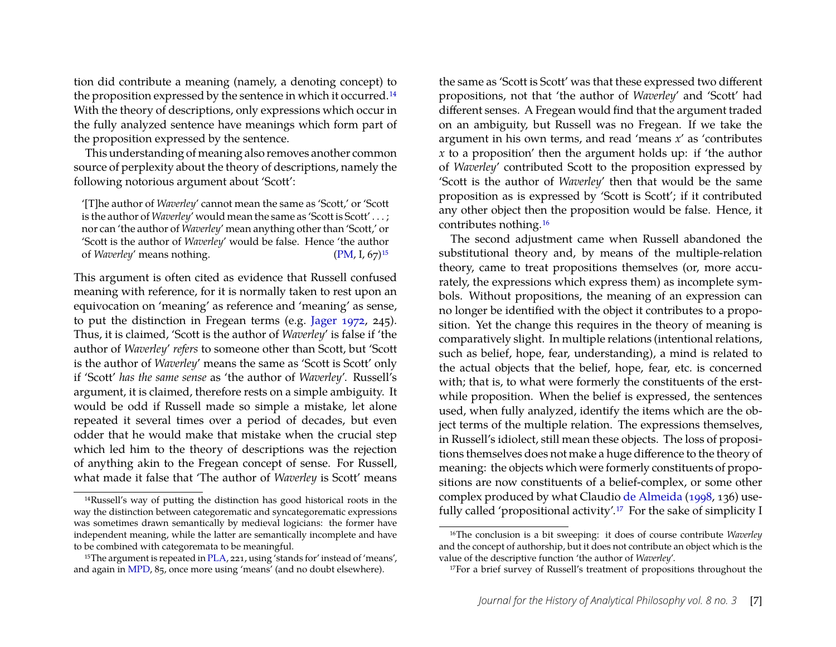tion did contribute a meaning (namely, a denoting concept) to the proposition expressed by the sentence in which it occurred.<sup>[14](#page-7-0)</sup> With the theory of descriptions, only expressions which occur in the fully analyzed sentence have meanings which form part of the proposition expressed by the sentence.

This understanding of meaning also removes another common source of perplexity about the theory of descriptions, namely the following notorious argument about 'Scott':

'[T]he author of *Waverley*' cannot mean the same as 'Scott,' or 'Scott is the author of *Waverley'* would mean the same as 'Scott is Scott'...; nor can 'the author of *Waverley*' mean anything other than 'Scott,' or 'Scott is the author of *Waverley*' would be false. Hence 'the author of *Waverley'* means nothing. [\(PM,](#page-13-0) I, 67)<sup>[15](#page-7-1)</sup>

This argument is often cited as evidence that Russell confused meaning with reference, for it is normally taken to rest upon an equivocation on 'meaning' as reference and 'meaning' as sense, to put the distinction in Fregean terms (e.g. [Jager 1972,](#page-18-3) 245). Thus, it is claimed, 'Scott is the author of *Waverley*' is false if 'the author of *Waverley*' *refers* to someone other than Scott, but 'Scott is the author of *Waverley*' means the same as 'Scott is Scott' only if 'Scott' *has the same sense* as 'the author of *Waverley*'. Russell's argument, it is claimed, therefore rests on a simple ambiguity. It would be odd if Russell made so simple a mistake, let alone repeated it several times over a period of decades, but even odder that he would make that mistake when the crucial step which led him to the theory of descriptions was the rejection of anything akin to the Fregean concept of sense. For Russell, what made it false that 'The author of *Waverley* is Scott' means

the same as 'Scott is Scott' was that these expressed two different propositions, not that 'the author of *Waverley*' and 'Scott' had different senses. A Fregean would find that the argument traded on an ambiguity, but Russell was no Fregean. If we take the argument in his own terms, and read 'means *x*' as 'contributes *x* to a proposition' then the argument holds up: if 'the author of *Waverley*' contributed Scott to the proposition expressed by 'Scott is the author of *Waverley*' then that would be the same proposition as is expressed by 'Scott is Scott'; if it contributed any other object then the proposition would be false. Hence, it contributes nothing.[16](#page-7-2)

The second adjustment came when Russell abandoned the substitutional theory and, by means of the multiple-relation theory, came to treat propositions themselves (or, more accurately, the expressions which express them) as incomplete symbols. Without propositions, the meaning of an expression can no longer be identified with the object it contributes to a proposition. Yet the change this requires in the theory of meaning is comparatively slight. In multiple relations (intentional relations, such as belief, hope, fear, understanding), a mind is related to the actual objects that the belief, hope, fear, etc. is concerned with; that is, to what were formerly the constituents of the erstwhile proposition. When the belief is expressed, the sentences used, when fully analyzed, identify the items which are the object terms of the multiple relation. The expressions themselves, in Russell's idiolect, still mean these objects. The loss of propositions themselves does not make a huge difference to the theory of meaning: the objects which were formerly constituents of propositions are now constituents of a belief-complex, or some other complex produced by what Claudio [de Almeida](#page-17-5) [\(1998,](#page-17-5) 136) usefully called 'propositional activity'.[17](#page-7-3) For the sake of simplicity I

<span id="page-7-0"></span><sup>14</sup>Russell's way of putting the distinction has good historical roots in the way the distinction between categorematic and syncategorematic expressions was sometimes drawn semantically by medieval logicians: the former have independent meaning, while the latter are semantically incomplete and have to be combined with categoremata to be meaningful.

<span id="page-7-1"></span><sup>&</sup>lt;sup>15</sup>The argument is repeated in [PLA,](#page-13-0) 221, using 'stands for' instead of 'means', and again in [MPD,](#page-13-0) 85, once more using 'means' (and no doubt elsewhere).

<span id="page-7-2"></span><sup>16</sup>The conclusion is a bit sweeping: it does of course contribute *Waverley* and the concept of authorship, but it does not contribute an object which is the value of the descriptive function 'the author of *Waverley*'.

<span id="page-7-3"></span><sup>17</sup>For a brief survey of Russell's treatment of propositions throughout the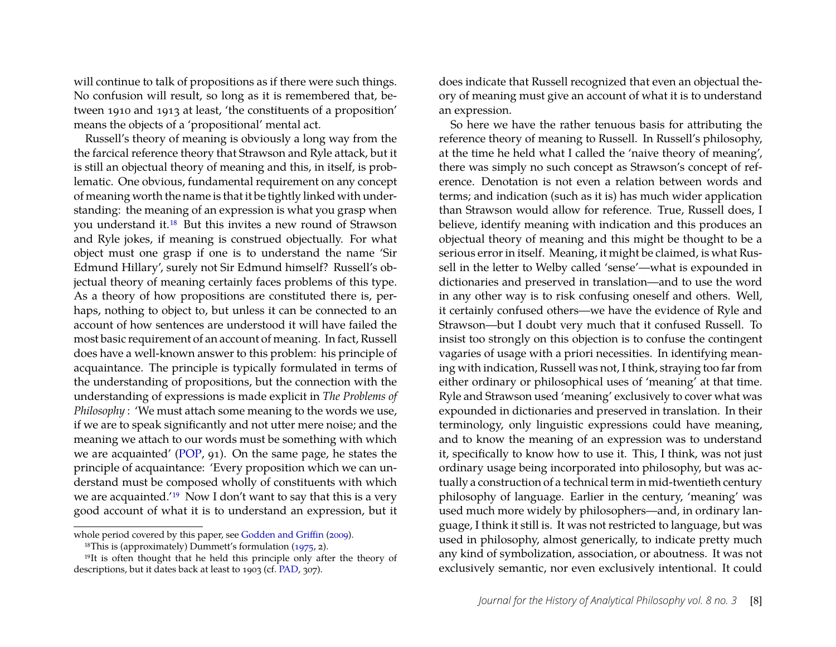will continue to talk of propositions as if there were such things. No confusion will result, so long as it is remembered that, between 1910 and 1913 at least, 'the constituents of a proposition' means the objects of a 'propositional' mental act.

Russell's theory of meaning is obviously a long way from the the farcical reference theory that Strawson and Ryle attack, but it is still an objectual theory of meaning and this, in itself, is problematic. One obvious, fundamental requirement on any concept of meaning worth the name is that it be tightly linked with understanding: the meaning of an expression is what you grasp when you understand it.[18](#page-8-0) But this invites a new round of Strawson and Ryle jokes, if meaning is construed objectually. For what object must one grasp if one is to understand the name 'Sir Edmund Hillary', surely not Sir Edmund himself? Russell's objectual theory of meaning certainly faces problems of this type. As a theory of how propositions are constituted there is, perhaps, nothing to object to, but unless it can be connected to an account of how sentences are understood it will have failed the most basic requirement of an account of meaning. In fact, Russell does have a well-known answer to this problem: his principle of acquaintance. The principle is typically formulated in terms of the understanding of propositions, but the connection with the understanding of expressions is made explicit in *The Problems of Philosophy* : 'We must attach some meaning to the words we use, if we are to speak significantly and not utter mere noise; and the meaning we attach to our words must be something with which we are acquainted' [\(POP,](#page-13-0) 91). On the same page, he states the principle of acquaintance: 'Every proposition which we can understand must be composed wholly of constituents with which we are acquainted.'[19](#page-8-1) Now I don't want to say that this is a very good account of what it is to understand an expression, but it

does indicate that Russell recognized that even an objectual theory of meaning must give an account of what it is to understand an expression.

So here we have the rather tenuous basis for attributing the reference theory of meaning to Russell. In Russell's philosophy, at the time he held what I called the 'naive theory of meaning', there was simply no such concept as Strawson's concept of reference. Denotation is not even a relation between words and terms; and indication (such as it is) has much wider application than Strawson would allow for reference. True, Russell does, I believe, identify meaning with indication and this produces an objectual theory of meaning and this might be thought to be a serious error in itself. Meaning, it might be claimed, is what Russell in the letter to Welby called 'sense'—what is expounded in dictionaries and preserved in translation—and to use the word in any other way is to risk confusing oneself and others. Well, it certainly confused others—we have the evidence of Ryle and Strawson—but I doubt very much that it confused Russell. To insist too strongly on this objection is to confuse the contingent vagaries of usage with a priori necessities. In identifying meaning with indication, Russell was not, I think, straying too far from either ordinary or philosophical uses of 'meaning' at that time. Ryle and Strawson used 'meaning' exclusively to cover what was expounded in dictionaries and preserved in translation. In their terminology, only linguistic expressions could have meaning, and to know the meaning of an expression was to understand it, specifically to know how to use it. This, I think, was not just ordinary usage being incorporated into philosophy, but was actually a construction of a technical term in mid-twentieth century philosophy of language. Earlier in the century, 'meaning' was used much more widely by philosophers—and, in ordinary language, I think it still is. It was not restricted to language, but was used in philosophy, almost generically, to indicate pretty much any kind of symbolization, association, or aboutness. It was not exclusively semantic, nor even exclusively intentional. It could

whole period covered by this paper, see [Godden and Griffin](#page-17-6) [\(2009\)](#page-17-6).

<span id="page-8-1"></span><span id="page-8-0"></span><sup>&</sup>lt;sup>18</sup>This is (approximately) Dummett's formulation  $(1975, 2)$ .

<sup>&</sup>lt;sup>19</sup>It is often thought that he held this principle only after the theory of descriptions, but it dates back at least to 1903 (cf. [PAD,](#page-13-0) 307).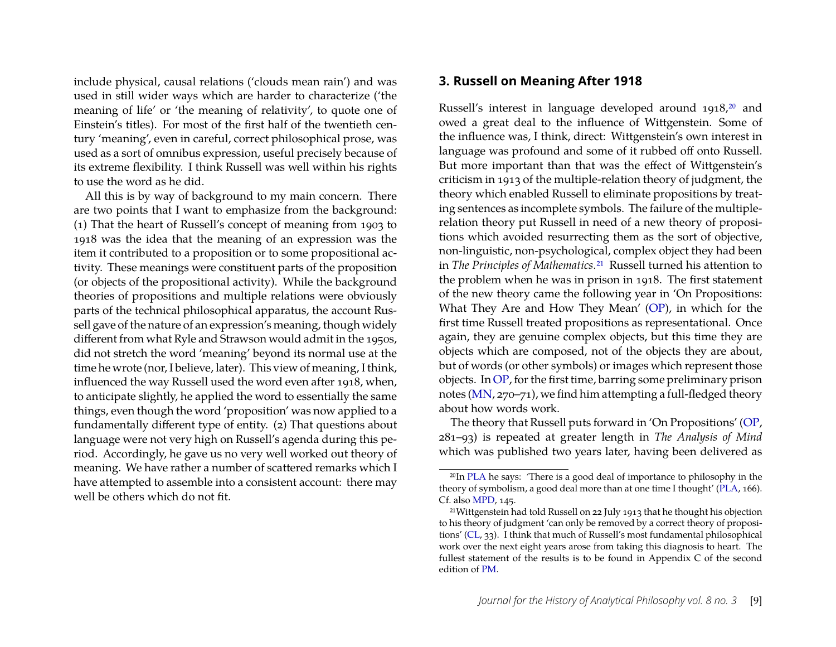include physical, causal relations ('clouds mean rain') and was used in still wider ways which are harder to characterize ('the meaning of life' or 'the meaning of relativity', to quote one of Einstein's titles). For most of the first half of the twentieth century 'meaning', even in careful, correct philosophical prose, was used as a sort of omnibus expression, useful precisely because of its extreme flexibility. I think Russell was well within his rights to use the word as he did.

All this is by way of background to my main concern. There are two points that I want to emphasize from the background: (1) That the heart of Russell's concept of meaning from 1903 to 1918 was the idea that the meaning of an expression was the item it contributed to a proposition or to some propositional activity. These meanings were constituent parts of the proposition (or objects of the propositional activity). While the background theories of propositions and multiple relations were obviously parts of the technical philosophical apparatus, the account Russell gave of the nature of an expression's meaning, though widely different from what Ryle and Strawson would admit in the 1950s, did not stretch the word 'meaning' beyond its normal use at the time he wrote (nor, I believe, later). This view of meaning, I think, influenced the way Russell used the word even after 1918, when, to anticipate slightly, he applied the word to essentially the same things, even though the word 'proposition' was now applied to a fundamentally different type of entity. (2) That questions about language were not very high on Russell's agenda during this period. Accordingly, he gave us no very well worked out theory of meaning. We have rather a number of scattered remarks which I have attempted to assemble into a consistent account: there may well be others which do not fit.

#### **3. Russell on Meaning After 1918**

Russell's interest in language developed around 1918,[20](#page-9-0) and owed a great deal to the influence of Wittgenstein. Some of the influence was, I think, direct: Wittgenstein's own interest in language was profound and some of it rubbed off onto Russell. But more important than that was the effect of Wittgenstein's criticism in 1913 of the multiple-relation theory of judgment, the theory which enabled Russell to eliminate propositions by treating sentences as incomplete symbols. The failure of the multiplerelation theory put Russell in need of a new theory of propositions which avoided resurrecting them as the sort of objective, non-linguistic, non-psychological, complex object they had been in *The Principles of Mathematics*.[21](#page-9-1) Russell turned his attention to the problem when he was in prison in 1918. The first statement of the new theory came the following year in 'On Propositions: What They Are and How They Mean' [\(OP\)](#page-13-0), in which for the first time Russell treated propositions as representational. Once again, they are genuine complex objects, but this time they are objects which are composed, not of the objects they are about, but of words (or other symbols) or images which represent those objects. In [OP,](#page-13-0) for the first time, barring some preliminary prison notes [\(MN,](#page-13-0) 270–71), we find him attempting a full-fledged theory about how words work.

The theory that Russell puts forward in 'On Propositions' [\(OP,](#page-13-0) 281–93) is repeated at greater length in *The Analysis of Mind* which was published two years later, having been delivered as

<span id="page-9-0"></span><sup>&</sup>lt;sup>20</sup>In [PLA](#page-13-0) he says: 'There is a good deal of importance to philosophy in the theory of symbolism, a good deal more than at one time I thought' [\(PLA,](#page-13-0) 166). Cf. also [MPD,](#page-13-0) 145.

<span id="page-9-1"></span><sup>21</sup>Wittgenstein had told Russell on 22 July 1913 that he thought his objection to his theory of judgment 'can only be removed by a correct theory of propositions' [\(CL,](#page-13-0) 33). I think that much of Russell's most fundamental philosophical work over the next eight years arose from taking this diagnosis to heart. The fullest statement of the results is to be found in Appendix C of the second edition of [PM.](#page-13-0)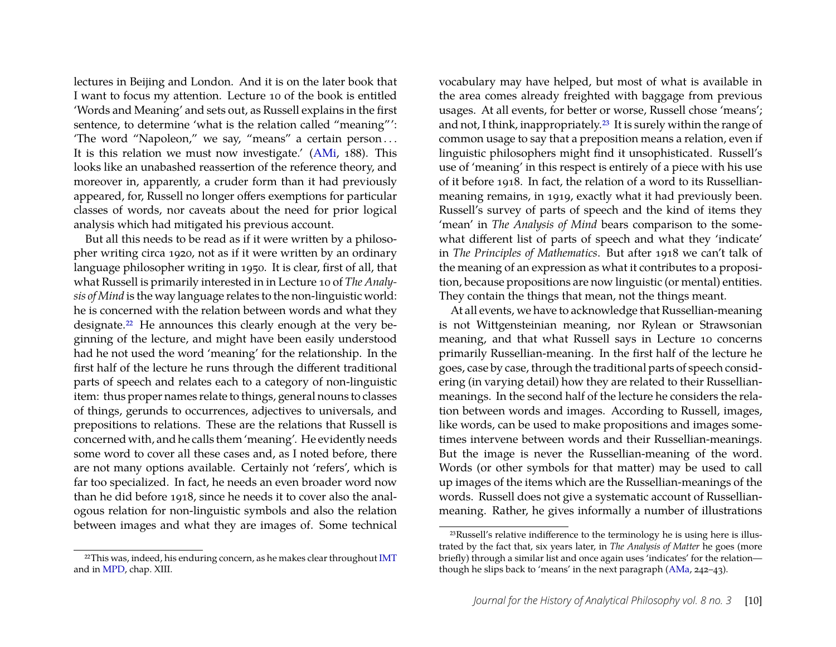lectures in Beijing and London. And it is on the later book that I want to focus my attention. Lecture 10 of the book is entitled 'Words and Meaning' and sets out, as Russell explains in the first sentence, to determine 'what is the relation called "meaning"': 'The word "Napoleon," we say, "means" a certain person . . . It is this relation we must now investigate.' [\(AMi,](#page-13-0) 188). This looks like an unabashed reassertion of the reference theory, and moreover in, apparently, a cruder form than it had previously appeared, for, Russell no longer offers exemptions for particular classes of words, nor caveats about the need for prior logical analysis which had mitigated his previous account.

But all this needs to be read as if it were written by a philosopher writing circa 1920, not as if it were written by an ordinary language philosopher writing in 1950. It is clear, first of all, that what Russell is primarily interested in in Lecture 10 of *The Analysis of Mind* is the way language relates to the non-linguistic world: he is concerned with the relation between words and what they designate.<sup>[22](#page-10-0)</sup> He announces this clearly enough at the very beginning of the lecture, and might have been easily understood had he not used the word 'meaning' for the relationship. In the first half of the lecture he runs through the different traditional parts of speech and relates each to a category of non-linguistic item: thus proper names relate to things, general nouns to classes of things, gerunds to occurrences, adjectives to universals, and prepositions to relations. These are the relations that Russell is concerned with, and he calls them 'meaning'. He evidently needs some word to cover all these cases and, as I noted before, there are not many options available. Certainly not 'refers', which is far too specialized. In fact, he needs an even broader word now than he did before 1918, since he needs it to cover also the analogous relation for non-linguistic symbols and also the relation between images and what they are images of. Some technical

<span id="page-10-0"></span><sup>22</sup>This was, indeed, his enduring concern, as he makes clear throughout [IMT](#page-13-0) and in [MPD,](#page-13-0) chap. XIII.

vocabulary may have helped, but most of what is available in the area comes already freighted with baggage from previous usages. At all events, for better or worse, Russell chose 'means'; and not, I think, inappropriately.[23](#page-10-1) It is surely within the range of common usage to say that a preposition means a relation, even if linguistic philosophers might find it unsophisticated. Russell's use of 'meaning' in this respect is entirely of a piece with his use of it before 1918. In fact, the relation of a word to its Russellianmeaning remains, in 1919, exactly what it had previously been. Russell's survey of parts of speech and the kind of items they 'mean' in *The Analysis of Mind* bears comparison to the somewhat different list of parts of speech and what they 'indicate' in *The Principles of Mathematics*. But after 1918 we can't talk of the meaning of an expression as what it contributes to a proposition, because propositions are now linguistic (or mental) entities. They contain the things that mean, not the things meant.

At all events, we have to acknowledge that Russellian-meaning is not Wittgensteinian meaning, nor Rylean or Strawsonian meaning, and that what Russell says in Lecture 10 concerns primarily Russellian-meaning. In the first half of the lecture he goes, case by case, through the traditional parts of speech considering (in varying detail) how they are related to their Russellianmeanings. In the second half of the lecture he considers the relation between words and images. According to Russell, images, like words, can be used to make propositions and images sometimes intervene between words and their Russellian-meanings. But the image is never the Russellian-meaning of the word. Words (or other symbols for that matter) may be used to call up images of the items which are the Russellian-meanings of the words. Russell does not give a systematic account of Russellianmeaning. Rather, he gives informally a number of illustrations

<span id="page-10-1"></span><sup>23</sup>Russell's relative indifference to the terminology he is using here is illustrated by the fact that, six years later, in *The Analysis of Matter* he goes (more briefly) through a similar list and once again uses 'indicates' for the relation though he slips back to 'means' in the next paragraph [\(AMa,](#page-13-0) 242–43).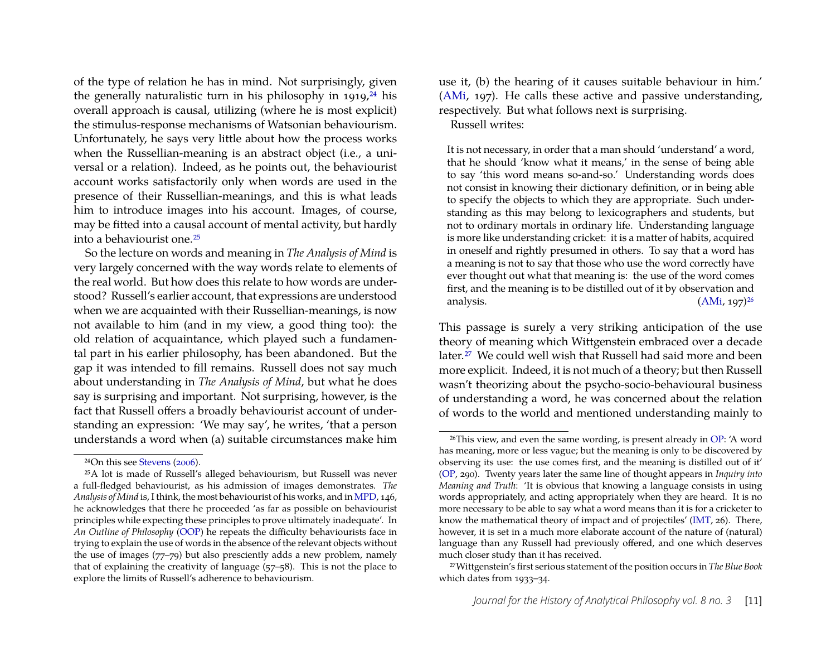of the type of relation he has in mind. Not surprisingly, given the generally naturalistic turn in his philosophy in  $1919$ ,  $^{24}$  $^{24}$  $^{24}$  his overall approach is causal, utilizing (where he is most explicit) the stimulus-response mechanisms of Watsonian behaviourism. Unfortunately, he says very little about how the process works when the Russellian-meaning is an abstract object (i.e., a universal or a relation). Indeed, as he points out, the behaviourist account works satisfactorily only when words are used in the presence of their Russellian-meanings, and this is what leads him to introduce images into his account. Images, of course, may be fitted into a causal account of mental activity, but hardly into a behaviourist one.[25](#page-11-1)

So the lecture on words and meaning in *The Analysis of Mind* is very largely concerned with the way words relate to elements of the real world. But how does this relate to how words are understood? Russell's earlier account, that expressions are understood when we are acquainted with their Russellian-meanings, is now not available to him (and in my view, a good thing too): the old relation of acquaintance, which played such a fundamental part in his earlier philosophy, has been abandoned. But the gap it was intended to fill remains. Russell does not say much about understanding in *The Analysis of Mind*, but what he does say is surprising and important. Not surprising, however, is the fact that Russell offers a broadly behaviourist account of understanding an expression: 'We may say', he writes, 'that a person understands a word when (a) suitable circumstances make him use it, (b) the hearing of it causes suitable behaviour in him.' [\(AMi,](#page-13-0) 197). He calls these active and passive understanding, respectively. But what follows next is surprising.

Russell writes:

It is not necessary, in order that a man should 'understand' a word, that he should 'know what it means,' in the sense of being able to say 'this word means so-and-so.' Understanding words does not consist in knowing their dictionary definition, or in being able to specify the objects to which they are appropriate. Such understanding as this may belong to lexicographers and students, but not to ordinary mortals in ordinary life. Understanding language is more like understanding cricket: it is a matter of habits, acquired in oneself and rightly presumed in others. To say that a word has a meaning is not to say that those who use the word correctly have ever thought out what that meaning is: the use of the word comes first, and the meaning is to be distilled out of it by observation and analysis.  $(AMi, 197)^{26}$  $(AMi, 197)^{26}$  $(AMi, 197)^{26}$  $(AMi, 197)^{26}$ 

This passage is surely a very striking anticipation of the use theory of meaning which Wittgenstein embraced over a decade later.<sup>[27](#page-11-3)</sup> We could well wish that Russell had said more and been more explicit. Indeed, it is not much of a theory; but then Russell wasn't theorizing about the psycho-socio-behavioural business of understanding a word, he was concerned about the relation of words to the world and mentioned understanding mainly to

<span id="page-11-1"></span><span id="page-11-0"></span><sup>24</sup>On this see [Stevens](#page-18-9) [\(2006\)](#page-18-9).

<sup>25</sup>A lot is made of Russell's alleged behaviourism, but Russell was never a full-fledged behaviourist, as his admission of images demonstrates. *The Analysis of Mind* is, I think, the most behaviourist of his works, and in [MPD,](#page-13-0) 146, he acknowledges that there he proceeded 'as far as possible on behaviourist principles while expecting these principles to prove ultimately inadequate'. In *An Outline of Philosophy* [\(OOP\)](#page-13-0) he repeats the difficulty behaviourists face in trying to explain the use of words in the absence of the relevant objects without the use of images (77–79) but also presciently adds a new problem, namely that of explaining the creativity of language (57–58). This is not the place to explore the limits of Russell's adherence to behaviourism.

<span id="page-11-2"></span> $26$ This view, and even the same wording, is present already in [OP:](#page-13-0) 'A word has meaning, more or less vague; but the meaning is only to be discovered by observing its use: the use comes first, and the meaning is distilled out of it' [\(OP,](#page-13-0) 290). Twenty years later the same line of thought appears in *Inquiry into Meaning and Truth*: 'It is obvious that knowing a language consists in using words appropriately, and acting appropriately when they are heard. It is no more necessary to be able to say what a word means than it is for a cricketer to know the mathematical theory of impact and of projectiles' [\(IMT,](#page-13-0) 26). There, however, it is set in a much more elaborate account of the nature of (natural) language than any Russell had previously offered, and one which deserves much closer study than it has received.

<span id="page-11-3"></span><sup>27</sup>Wittgenstein's first serious statement of the position occurs in *The Blue Book* which dates from 1933–34.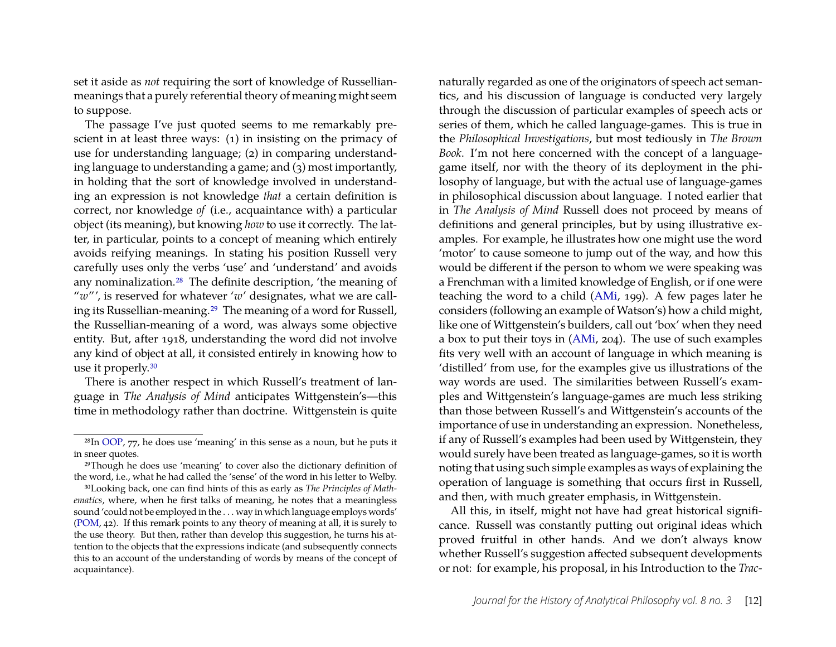set it aside as *not* requiring the sort of knowledge of Russellianmeanings that a purely referential theory of meaning might seem to suppose.

The passage I've just quoted seems to me remarkably prescient in at least three ways: (1) in insisting on the primacy of use for understanding language; (2) in comparing understanding language to understanding a game; and (3) most importantly, in holding that the sort of knowledge involved in understanding an expression is not knowledge *that* a certain definition is correct, nor knowledge *of* (i.e., acquaintance with) a particular object (its meaning), but knowing *how* to use it correctly. The latter, in particular, points to a concept of meaning which entirely avoids reifying meanings. In stating his position Russell very carefully uses only the verbs 'use' and 'understand' and avoids any nominalization.[28](#page-12-0) The definite description, 'the meaning of "*w*"', is reserved for whatever '*w*' designates, what we are calling its Russellian-meaning.[29](#page-12-1) The meaning of a word for Russell, the Russellian-meaning of a word, was always some objective entity. But, after 1918, understanding the word did not involve any kind of object at all, it consisted entirely in knowing how to use it properly.[30](#page-12-2)

There is another respect in which Russell's treatment of language in *The Analysis of Mind* anticipates Wittgenstein's—this time in methodology rather than doctrine. Wittgenstein is quite

naturally regarded as one of the originators of speech act semantics, and his discussion of language is conducted very largely through the discussion of particular examples of speech acts or series of them, which he called language-games. This is true in the *Philosophical Investigations*, but most tediously in *The Brown Book*. I'm not here concerned with the concept of a languagegame itself, nor with the theory of its deployment in the philosophy of language, but with the actual use of language-games in philosophical discussion about language. I noted earlier that in *The Analysis of Mind* Russell does not proceed by means of definitions and general principles, but by using illustrative examples. For example, he illustrates how one might use the word 'motor' to cause someone to jump out of the way, and how this would be different if the person to whom we were speaking was a Frenchman with a limited knowledge of English, or if one were teaching the word to a child [\(AMi,](#page-13-0) 199). A few pages later he considers (following an example of Watson's) how a child might, like one of Wittgenstein's builders, call out 'box' when they need a box to put their toys in [\(AMi,](#page-13-0) 204). The use of such examples fits very well with an account of language in which meaning is 'distilled' from use, for the examples give us illustrations of the way words are used. The similarities between Russell's examples and Wittgenstein's language-games are much less striking than those between Russell's and Wittgenstein's accounts of the importance of use in understanding an expression. Nonetheless, if any of Russell's examples had been used by Wittgenstein, they would surely have been treated as language-games, so it is worth noting that using such simple examples as ways of explaining the operation of language is something that occurs first in Russell, and then, with much greater emphasis, in Wittgenstein.

All this, in itself, might not have had great historical significance. Russell was constantly putting out original ideas which proved fruitful in other hands. And we don't always know whether Russell's suggestion affected subsequent developments or not: for example, his proposal, in his Introduction to the *Trac-*

<span id="page-12-0"></span> $28$ In [OOP,](#page-13-0) 77, he does use 'meaning' in this sense as a noun, but he puts it in sneer quotes.

<span id="page-12-1"></span><sup>29</sup>Though he does use 'meaning' to cover also the dictionary definition of the word, i.e., what he had called the 'sense' of the word in his letter to Welby.

<span id="page-12-2"></span><sup>30</sup>Looking back, one can find hints of this as early as *The Principles of Mathematics*, where, when he first talks of meaning, he notes that a meaningless sound 'could not be employed in the . . . way in which language employs words' [\(POM,](#page-13-0) 42). If this remark points to any theory of meaning at all, it is surely to the use theory. But then, rather than develop this suggestion, he turns his attention to the objects that the expressions indicate (and subsequently connects this to an account of the understanding of words by means of the concept of acquaintance).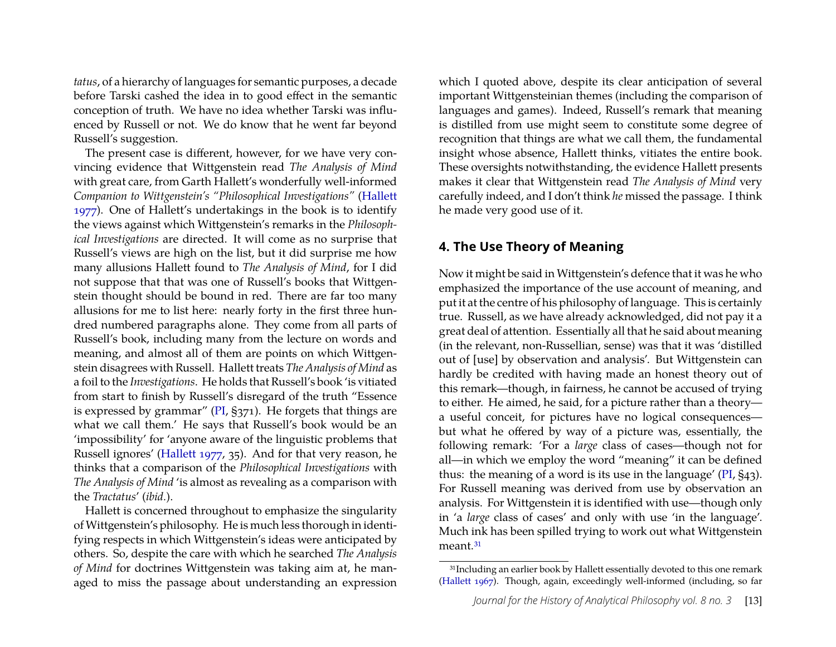*tatus*, of a hierarchy of languages for semantic purposes, a decade before Tarski cashed the idea in to good effect in the semantic conception of truth. We have no idea whether Tarski was influenced by Russell or not. We do know that he went far beyond Russell's suggestion.

The present case is different, however, for we have very convincing evidence that Wittgenstein read *The Analysis of Mind* with great care, from Garth Hallett's wonderfully well-informed *Companion to Wittgenstein's "Philosophical Investigations"* [\(Hallett](#page-18-6) [1977\)](#page-18-6). One of Hallett's undertakings in the book is to identify the views against which Wittgenstein's remarks in the *Philosophical Investigations* are directed. It will come as no surprise that Russell's views are high on the list, but it did surprise me how many allusions Hallett found to *The Analysis of Mind*, for I did not suppose that that was one of Russell's books that Wittgenstein thought should be bound in red. There are far too many allusions for me to list here: nearly forty in the first three hundred numbered paragraphs alone. They come from all parts of Russell's book, including many from the lecture on words and meaning, and almost all of them are points on which Wittgenstein disagrees with Russell. Hallett treats *The Analysis of Mind* as a foil to the *Investigations*. He holds that Russell's book 'is vitiated from start to finish by Russell's disregard of the truth "Essence is expressed by grammar" [\(PI,](#page-13-0) §371). He forgets that things are what we call them.' He says that Russell's book would be an 'impossibility' for 'anyone aware of the linguistic problems that Russell ignores' [\(Hallett 1977,](#page-18-6) 35). And for that very reason, he thinks that a comparison of the *Philosophical Investigations* with *The Analysis of Mind* 'is almost as revealing as a comparison with the *Tractatus*' (*ibid.*).

Hallett is concerned throughout to emphasize the singularity of Wittgenstein's philosophy. He is much less thorough in identifying respects in which Wittgenstein's ideas were anticipated by others. So, despite the care with which he searched *The Analysis of Mind* for doctrines Wittgenstein was taking aim at, he managed to miss the passage about understanding an expression

which I quoted above, despite its clear anticipation of several important Wittgensteinian themes (including the comparison of languages and games). Indeed, Russell's remark that meaning is distilled from use might seem to constitute some degree of recognition that things are what we call them, the fundamental insight whose absence, Hallett thinks, vitiates the entire book. These oversights notwithstanding, the evidence Hallett presents makes it clear that Wittgenstein read *The Analysis of Mind* very carefully indeed, and I don't think *he* missed the passage. I think he made very good use of it.

#### <span id="page-13-0"></span>**4. The Use Theory of Meaning**

Now it might be said in Wittgenstein's defence that it was he who emphasized the importance of the use account of meaning, and put it at the centre of his philosophy of language. This is certainly true. Russell, as we have already acknowledged, did not pay it a great deal of attention. Essentially all that he said about meaning (in the relevant, non-Russellian, sense) was that it was 'distilled out of [use] by observation and analysis'. But Wittgenstein can hardly be credited with having made an honest theory out of this remark—though, in fairness, he cannot be accused of trying to either. He aimed, he said, for a picture rather than a theory a useful conceit, for pictures have no logical consequences but what he offered by way of a picture was, essentially, the following remark: 'For a *large* class of cases—though not for all—in which we employ the word "meaning" it can be defined thus: the meaning of a word is its use in the language' [\(PI,](#page-13-0) §43). For Russell meaning was derived from use by observation an analysis. For Wittgenstein it is identified with use—though only in 'a *large* class of cases' and only with use 'in the language'. Much ink has been spilled trying to work out what Wittgenstein meant.<sup>[31](#page-13-1)</sup>

<span id="page-13-1"></span><sup>&</sup>lt;sup>31</sup>Including an earlier book by Hallett essentially devoted to this one remark [\(Hallett 1967\)](#page-17-8). Though, again, exceedingly well-informed (including, so far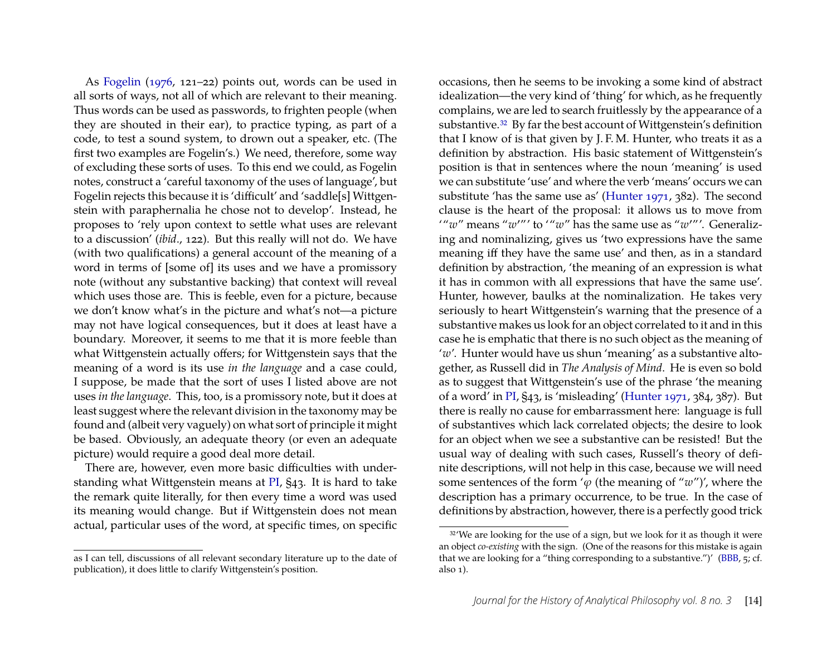As [Fogelin](#page-17-9) [\(1976,](#page-17-9) 121–22) points out, words can be used in all sorts of ways, not all of which are relevant to their meaning. Thus words can be used as passwords, to frighten people (when they are shouted in their ear), to practice typing, as part of a code, to test a sound system, to drown out a speaker, etc. (The first two examples are Fogelin's.) We need, therefore, some way of excluding these sorts of uses. To this end we could, as Fogelin notes, construct a 'careful taxonomy of the uses of language', but Fogelin rejects this because it is 'difficult' and 'saddle[s] Wittgenstein with paraphernalia he chose not to develop'. Instead, he proposes to 'rely upon context to settle what uses are relevant to a discussion' (*ibid*., 122). But this really will not do. We have (with two qualifications) a general account of the meaning of a word in terms of [some of] its uses and we have a promissory note (without any substantive backing) that context will reveal which uses those are. This is feeble, even for a picture, because we don't know what's in the picture and what's not—a picture may not have logical consequences, but it does at least have a boundary. Moreover, it seems to me that it is more feeble than what Wittgenstein actually offers; for Wittgenstein says that the meaning of a word is its use *in the language* and a case could, I suppose, be made that the sort of uses I listed above are not uses *in the language*. This, too, is a promissory note, but it does at least suggest where the relevant division in the taxonomy may be found and (albeit very vaguely) on what sort of principle it might be based. Obviously, an adequate theory (or even an adequate picture) would require a good deal more detail.

There are, however, even more basic difficulties with understanding what Wittgenstein means at [PI,](#page-13-0) §43. It is hard to take the remark quite literally, for then every time a word was used its meaning would change. But if Wittgenstein does not mean actual, particular uses of the word, at specific times, on specific

occasions, then he seems to be invoking a some kind of abstract idealization—the very kind of 'thing' for which, as he frequently complains, we are led to search fruitlessly by the appearance of a substantive.<sup>[32](#page-14-0)</sup> By far the best account of Wittgenstein's definition that I know of is that given by J. F. M. Hunter, who treats it as a definition by abstraction. His basic statement of Wittgenstein's position is that in sentences where the noun 'meaning' is used we can substitute 'use' and where the verb 'means' occurs we can substitute 'has the same use as' [\(Hunter 1971,](#page-18-10) 382). The second clause is the heart of the proposal: it allows us to move from "*w*" means "*w*'"' to '"*w*" has the same use as "*w*'"'. Generalizing and nominalizing, gives us 'two expressions have the same meaning iff they have the same use' and then, as in a standard definition by abstraction, 'the meaning of an expression is what it has in common with all expressions that have the same use'. Hunter, however, baulks at the nominalization. He takes very seriously to heart Wittgenstein's warning that the presence of a substantive makes us look for an object correlated to it and in this case he is emphatic that there is no such object as the meaning of '*w*'. Hunter would have us shun 'meaning' as a substantive altogether, as Russell did in *The Analysis of Mind*. He is even so bold as to suggest that Wittgenstein's use of the phrase 'the meaning of a word' in [PI,](#page-13-0) §43, is 'misleading' [\(Hunter 1971,](#page-18-10) 384, 387). But there is really no cause for embarrassment here: language is full of substantives which lack correlated objects; the desire to look for an object when we see a substantive can be resisted! But the usual way of dealing with such cases, Russell's theory of definite descriptions, will not help in this case, because we will need some sentences of the form ' $\varphi$  (the meaning of " $w$ ")', where the description has a primary occurrence, to be true. In the case of definitions by abstraction, however, there is a perfectly good trick

as I can tell, discussions of all relevant secondary literature up to the date of publication), it does little to clarify Wittgenstein's position.

<span id="page-14-0"></span><sup>&</sup>lt;sup>32</sup>'We are looking for the use of a sign, but we look for it as though it were an object *co-existing* with the sign. (One of the reasons for this mistake is again that we are looking for a "thing corresponding to a substantive.")' [\(BBB,](#page-13-0) 5; cf. also 1).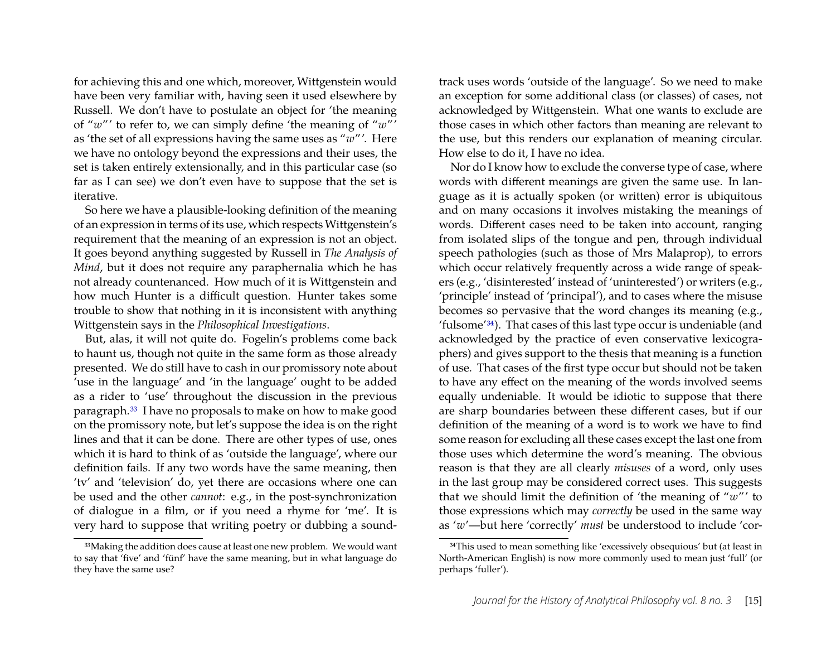for achieving this and one which, moreover, Wittgenstein would have been very familiar with, having seen it used elsewhere by Russell. We don't have to postulate an object for 'the meaning of "*w*"' to refer to, we can simply define 'the meaning of "*w*"' as 'the set of all expressions having the same uses as "*w*"'. Here we have no ontology beyond the expressions and their uses, the set is taken entirely extensionally, and in this particular case (so far as I can see) we don't even have to suppose that the set is iterative.

So here we have a plausible-looking definition of the meaning of an expression in terms of its use, which respects Wittgenstein's requirement that the meaning of an expression is not an object. It goes beyond anything suggested by Russell in *The Analysis of Mind*, but it does not require any paraphernalia which he has not already countenanced. How much of it is Wittgenstein and how much Hunter is a difficult question. Hunter takes some trouble to show that nothing in it is inconsistent with anything Wittgenstein says in the *Philosophical Investigations*.

But, alas, it will not quite do. Fogelin's problems come back to haunt us, though not quite in the same form as those already presented. We do still have to cash in our promissory note about 'use in the language' and 'in the language' ought to be added as a rider to 'use' throughout the discussion in the previous paragraph.[33](#page-15-0) I have no proposals to make on how to make good on the promissory note, but let's suppose the idea is on the right lines and that it can be done. There are other types of use, ones which it is hard to think of as 'outside the language', where our definition fails. If any two words have the same meaning, then 'tv' and 'television' do, yet there are occasions where one can be used and the other *cannot*: e.g., in the post-synchronization of dialogue in a film, or if you need a rhyme for 'me'. It is very hard to suppose that writing poetry or dubbing a soundtrack uses words 'outside of the language'. So we need to make an exception for some additional class (or classes) of cases, not acknowledged by Wittgenstein. What one wants to exclude are those cases in which other factors than meaning are relevant to the use, but this renders our explanation of meaning circular. How else to do it, I have no idea.

Nor do I know how to exclude the converse type of case, where words with different meanings are given the same use. In language as it is actually spoken (or written) error is ubiquitous and on many occasions it involves mistaking the meanings of words. Different cases need to be taken into account, ranging from isolated slips of the tongue and pen, through individual speech pathologies (such as those of Mrs Malaprop), to errors which occur relatively frequently across a wide range of speakers (e.g., 'disinterested' instead of 'uninterested') or writers (e.g., 'principle' instead of 'principal'), and to cases where the misuse becomes so pervasive that the word changes its meaning (e.g., 'fulsome'[34](#page-15-1)). That cases of this last type occur is undeniable (and acknowledged by the practice of even conservative lexicographers) and gives support to the thesis that meaning is a function of use. That cases of the first type occur but should not be taken to have any effect on the meaning of the words involved seems equally undeniable. It would be idiotic to suppose that there are sharp boundaries between these different cases, but if our definition of the meaning of a word is to work we have to find some reason for excluding all these cases except the last one from those uses which determine the word's meaning. The obvious reason is that they are all clearly *misuses* of a word, only uses in the last group may be considered correct uses. This suggests that we should limit the definition of 'the meaning of "*w*"' to those expressions which may *correctly* be used in the same way as '*w*'—but here 'correctly' *must* be understood to include 'cor-

<span id="page-15-0"></span><sup>33</sup>Making the addition does cause at least one new problem. We would want to say that 'five' and 'fünf' have the same meaning, but in what language do they have the same use?

<span id="page-15-1"></span><sup>34</sup>This used to mean something like 'excessively obsequious' but (at least in North-American English) is now more commonly used to mean just 'full' (or perhaps 'fuller').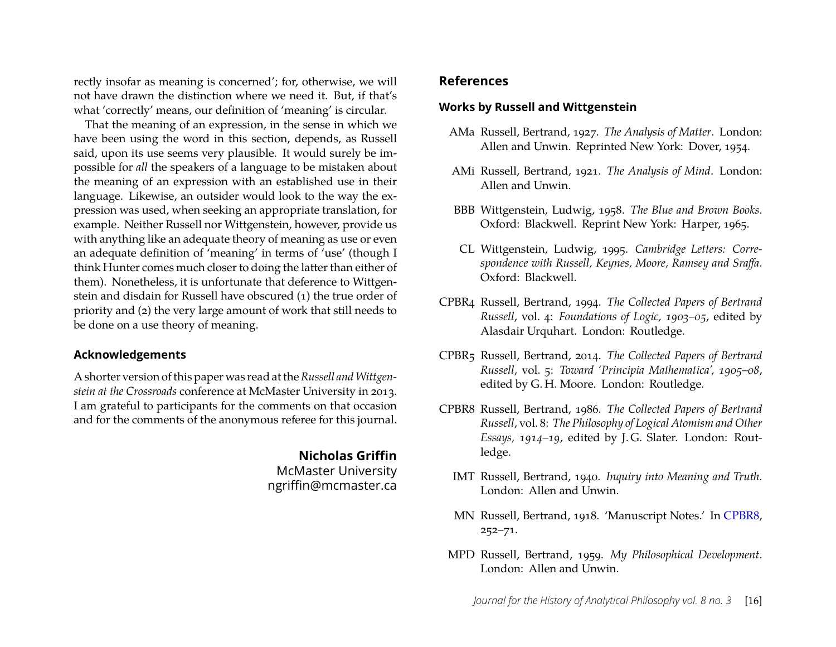rectly insofar as meaning is concerned'; for, otherwise, we will not have drawn the distinction where we need it. But, if that's what 'correctly' means, our definition of 'meaning' is circular.

That the meaning of an expression, in the sense in which we have been using the word in this section, depends, as Russell said, upon its use seems very plausible. It would surely be impossible for *all* the speakers of a language to be mistaken about the meaning of an expression with an established use in their language. Likewise, an outsider would look to the way the expression was used, when seeking an appropriate translation, for example. Neither Russell nor Wittgenstein, however, provide us with anything like an adequate theory of meaning as use or even an adequate definition of 'meaning' in terms of 'use' (though I think Hunter comes much closer to doing the latter than either of them). Nonetheless, it is unfortunate that deference to Wittgenstein and disdain for Russell have obscured (1) the true order of priority and (2) the very large amount of work that still needs to be done on a use theory of meaning.

#### **Acknowledgements**

A shorter version of this paper was read at the Russell and Wittgen*stein at the Crossroads* conference at McMaster University in 2013. I am grateful to participants for the comments on that occasion and for the comments of the anonymous referee for this journal.

#### **Nicholas Griffin**

McMaster University ngriffin@mcmaster.ca

#### **References**

#### **Works by Russell and Wittgenstein**

- AMa Russell, Bertrand, 1927. *The Analysis of Matter*. London: Allen and Unwin. Reprinted New York: Dover, 1954.
- AMi Russell, Bertrand, 1921. *The Analysis of Mind*. London: Allen and Unwin.
- BBB Wittgenstein, Ludwig, 1958. *The Blue and Brown Books*. Oxford: Blackwell. Reprint New York: Harper, 1965.
- CL Wittgenstein, Ludwig, 1995. *Cambridge Letters: Correspondence with Russell, Keynes, Moore, Ramsey and Sraffa*. Oxford: Blackwell.
- CPBR4 Russell, Bertrand, 1994. *The Collected Papers of Bertrand Russell*, vol. 4: *Foundations of Logic, 1903–05*, edited by Alasdair Urquhart. London: Routledge.
- CPBR5 Russell, Bertrand, 2014. *The Collected Papers of Bertrand Russell*, vol. 5: *Toward 'Principia Mathematica', 1905–08*, edited by G. H. Moore. London: Routledge.
- CPBR8 Russell, Bertrand, 1986. *The Collected Papers of Bertrand Russell*, vol. 8: *The Philosophy of Logical Atomism and Other Essays, 1914–19*, edited by J. G. Slater. London: Routledge.
	- IMT Russell, Bertrand, 1940. *Inquiry into Meaning and Truth*. London: Allen and Unwin.
	- MN Russell, Bertrand, 1918. 'Manuscript Notes.' In [CPBR8,](#page-13-0) 252–71.
	- MPD Russell, Bertrand, 1959. *My Philosophical Development*. London: Allen and Unwin.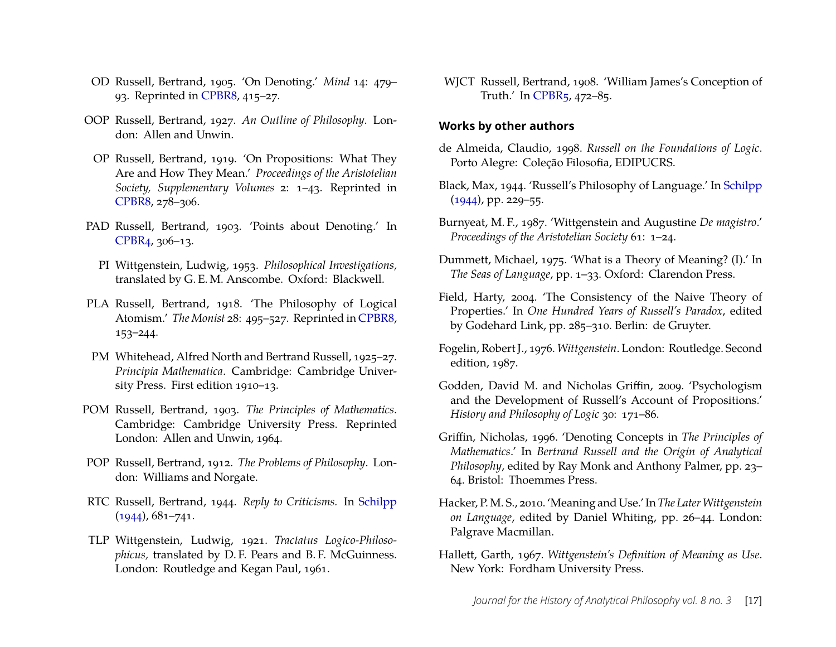- OD Russell, Bertrand, 1905. 'On Denoting.' *Mind* 14: 479– 93. Reprinted in [CPBR8,](#page-13-0) 415–27.
- OOP Russell, Bertrand, 1927. *An Outline of Philosophy*. London: Allen and Unwin.
- OP Russell, Bertrand, 1919. 'On Propositions: What They Are and How They Mean.' *Proceedings of the Aristotelian Society, Supplementary Volumes* 2: 1–43. Reprinted in [CPBR8,](#page-13-0) 278–306.
- PAD Russell, Bertrand, 1903. 'Points about Denoting.' In [CPBR4,](#page-13-0) 306–13.
	- PI Wittgenstein, Ludwig, 1953. *Philosophical Investigations,* translated by G. E. M. Anscombe. Oxford: Blackwell.
- PLA Russell, Bertrand, 1918. 'The Philosophy of Logical Atomism.' *The Monist* 28: 495–527. Reprinted in [CPBR8,](#page-13-0) 153–244.
- PM Whitehead, Alfred North and Bertrand Russell, 1925–27. *Principia Mathematica*. Cambridge: Cambridge University Press. First edition 1910–13.
- POM Russell, Bertrand, 1903. *The Principles of Mathematics*. Cambridge: Cambridge University Press. Reprinted London: Allen and Unwin, 1964.
- POP Russell, Bertrand, 1912. *The Problems of Philosophy*. London: Williams and Norgate.
- RTC Russell, Bertrand, 1944. *Reply to Criticisms.* In [Schilpp](#page-18-11) [\(1944\)](#page-18-11), 681–741.
- TLP Wittgenstein, Ludwig, 1921. *Tractatus Logico-Philosophicus,* translated by D. F. Pears and B. F. McGuinness. London: Routledge and Kegan Paul, 1961.

WJCT Russell, Bertrand, 1908. 'William James's Conception of Truth.' In [CPBR5,](#page-13-0) 472–85.

#### **Works by other authors**

- <span id="page-17-5"></span>de Almeida, Claudio, 1998. *Russell on the Foundations of Logic*. Porto Alegre: Coleção Filosofia, EDIPUCRS.
- <span id="page-17-1"></span>Black, Max, 1944. 'Russell's Philosophy of Language.' In [Schilpp](#page-18-11)  $(1944)$ , pp. 229–55.
- <span id="page-17-3"></span>Burnyeat, M. F., 1987. 'Wittgenstein and Augustine *De magistro*.' *Proceedings of the Aristotelian Society* 61: 1–24.
- <span id="page-17-7"></span>Dummett, Michael, 1975. 'What is a Theory of Meaning? (I).' In *The Seas of Language*, pp. 1–33. Oxford: Clarendon Press.
- <span id="page-17-2"></span>Field, Harty, 2004. 'The Consistency of the Naive Theory of Properties.' In *One Hundred Years of Russell's Paradox*, edited by Godehard Link, pp. 285–310. Berlin: de Gruyter.
- <span id="page-17-9"></span>Fogelin, Robert J., 1976. *Wittgenstein*. London: Routledge. Second edition, 1987.
- <span id="page-17-6"></span>Godden, David M. and Nicholas Griffin, 2009. 'Psychologism and the Development of Russell's Account of Propositions.' *History and Philosophy of Logic* 30: 171–86.
- <span id="page-17-4"></span>Griffin, Nicholas, 1996. 'Denoting Concepts in *The Principles of Mathematics*.' In *Bertrand Russell and the Origin of Analytical Philosophy*, edited by Ray Monk and Anthony Palmer, pp. 23– 64. Bristol: Thoemmes Press.
- <span id="page-17-0"></span>Hacker, P. M. S., 2010. 'Meaning and Use.' In *The Later Wittgenstein on Language*, edited by Daniel Whiting, pp. 26–44. London: Palgrave Macmillan.
- <span id="page-17-8"></span>Hallett, Garth, 1967. *Wittgenstein's Definition of Meaning as Use*. New York: Fordham University Press.